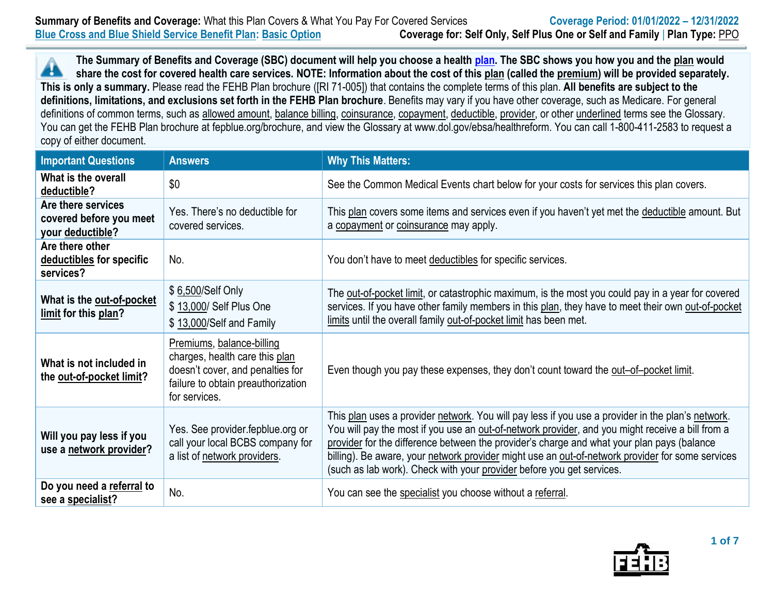**The Summary of Benefits and Coverage (SBC) document will help you choose a health [plan.](https://www.opm.gov/healthcare-insurance/healthcare/plan-information/compare-plans/) The SBC shows you how you and the plan would** Â **share the cost for covered health care services. NOTE: Information about the cost of this plan (called the premium) will be provided separately. This is only a summary.** Please read the FEHB Plan brochure ([RI 71-005]) that contains the complete terms of this plan. **All benefits are subject to the definitions, limitations, and exclusions set forth in the FEHB Plan brochure**. Benefits may vary if you have other coverage, such as Medicare. For general definitions of common terms, such as allowed amount, balance billing, coinsurance, copayment, deductible, provider, or other underlined terms see the Glossary. You can get the FEHB Plan brochure at fepblue.org/brochure, and view the Glossary at www.dol.gov/ebsa/healthreform. You can call 1-800-411-2583 to request a copy of either document.

| <b>Important Questions</b>                                        | <b>Answers</b>                                                                                                                                         | <b>Why This Matters:</b>                                                                                                                                                                                                                                                                                                                                                                                                                                                         |
|-------------------------------------------------------------------|--------------------------------------------------------------------------------------------------------------------------------------------------------|----------------------------------------------------------------------------------------------------------------------------------------------------------------------------------------------------------------------------------------------------------------------------------------------------------------------------------------------------------------------------------------------------------------------------------------------------------------------------------|
| What is the overall<br>deductible?                                | \$0                                                                                                                                                    | See the Common Medical Events chart below for your costs for services this plan covers.                                                                                                                                                                                                                                                                                                                                                                                          |
| Are there services<br>covered before you meet<br>your deductible? | Yes. There's no deductible for<br>covered services.                                                                                                    | This plan covers some items and services even if you haven't yet met the deductible amount. But<br>a copayment or coinsurance may apply.                                                                                                                                                                                                                                                                                                                                         |
| Are there other<br>deductibles for specific<br>services?          | No.                                                                                                                                                    | You don't have to meet deductibles for specific services.                                                                                                                                                                                                                                                                                                                                                                                                                        |
| What is the out-of-pocket<br>limit for this plan?                 | \$6,500/Self Only<br>\$13,000/ Self Plus One<br>\$13,000/Self and Family                                                                               | The out-of-pocket limit, or catastrophic maximum, is the most you could pay in a year for covered<br>services. If you have other family members in this plan, they have to meet their own out-of-pocket<br>limits until the overall family out-of-pocket limit has been met.                                                                                                                                                                                                     |
| What is not included in<br>the out-of-pocket limit?               | Premiums, balance-billing<br>charges, health care this plan<br>doesn't cover, and penalties for<br>failure to obtain preauthorization<br>for services. | Even though you pay these expenses, they don't count toward the out-of-pocket limit.                                                                                                                                                                                                                                                                                                                                                                                             |
| Will you pay less if you<br>use a network provider?               | Yes. See provider fepblue org or<br>call your local BCBS company for<br>a list of network providers.                                                   | This plan uses a provider network. You will pay less if you use a provider in the plan's network.<br>You will pay the most if you use an out-of-network provider, and you might receive a bill from a<br>provider for the difference between the provider's charge and what your plan pays (balance<br>billing). Be aware, your network provider might use an out-of-network provider for some services<br>(such as lab work). Check with your provider before you get services. |
| Do you need a referral to<br>see a specialist?                    | No.                                                                                                                                                    | You can see the specialist you choose without a referral.                                                                                                                                                                                                                                                                                                                                                                                                                        |

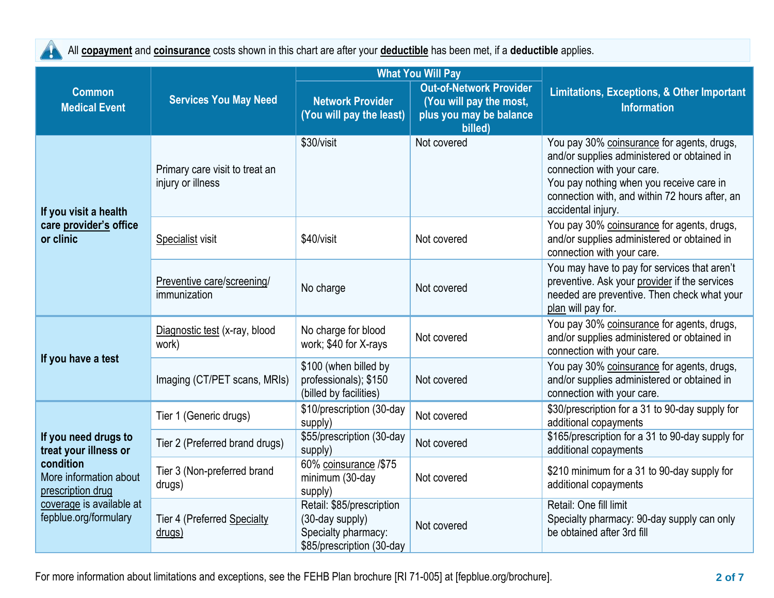All **copayment** and **coinsurance** costs shown in this chart are after your **deductible** has been met, if a **deductible** applies.  $\mathcal{A}$ 

|                                                                                                                                                                | <b>Services You May Need</b>                        | <b>What You Will Pay</b>                                                                         |                                                                                                 |                                                                                                                                                                                                                                             |  |
|----------------------------------------------------------------------------------------------------------------------------------------------------------------|-----------------------------------------------------|--------------------------------------------------------------------------------------------------|-------------------------------------------------------------------------------------------------|---------------------------------------------------------------------------------------------------------------------------------------------------------------------------------------------------------------------------------------------|--|
| <b>Common</b><br><b>Medical Event</b>                                                                                                                          |                                                     | <b>Network Provider</b><br>(You will pay the least)                                              | <b>Out-of-Network Provider</b><br>(You will pay the most,<br>plus you may be balance<br>billed) | <b>Limitations, Exceptions, &amp; Other Important</b><br><b>Information</b>                                                                                                                                                                 |  |
| If you visit a health<br>care provider's office<br>or clinic                                                                                                   | Primary care visit to treat an<br>injury or illness | \$30/visit                                                                                       | Not covered                                                                                     | You pay 30% coinsurance for agents, drugs,<br>and/or supplies administered or obtained in<br>connection with your care.<br>You pay nothing when you receive care in<br>connection with, and within 72 hours after, an<br>accidental injury. |  |
|                                                                                                                                                                | Specialist visit                                    | \$40/visit                                                                                       | Not covered                                                                                     | You pay 30% coinsurance for agents, drugs,<br>and/or supplies administered or obtained in<br>connection with your care.                                                                                                                     |  |
|                                                                                                                                                                | Preventive care/screening/<br>immunization          | No charge                                                                                        | Not covered                                                                                     | You may have to pay for services that aren't<br>preventive. Ask your provider if the services<br>needed are preventive. Then check what your<br>plan will pay for.                                                                          |  |
| If you have a test                                                                                                                                             | Diagnostic test (x-ray, blood<br>work)              | No charge for blood<br>work; \$40 for X-rays                                                     | Not covered                                                                                     | You pay 30% coinsurance for agents, drugs,<br>and/or supplies administered or obtained in<br>connection with your care.                                                                                                                     |  |
|                                                                                                                                                                | Imaging (CT/PET scans, MRIs)                        | \$100 (when billed by<br>professionals); \$150<br>(billed by facilities)                         | Not covered                                                                                     | You pay 30% coinsurance for agents, drugs,<br>and/or supplies administered or obtained in<br>connection with your care.                                                                                                                     |  |
| If you need drugs to<br>treat your illness or<br>condition<br>More information about<br>prescription drug<br>coverage is available at<br>fepblue.org/formulary | Tier 1 (Generic drugs)                              | \$10/prescription (30-day<br>supply)                                                             | Not covered                                                                                     | \$30/prescription for a 31 to 90-day supply for<br>additional copayments                                                                                                                                                                    |  |
|                                                                                                                                                                | Tier 2 (Preferred brand drugs)                      | \$55/prescription (30-day<br>supply)                                                             | Not covered                                                                                     | \$165/prescription for a 31 to 90-day supply for<br>additional copayments                                                                                                                                                                   |  |
|                                                                                                                                                                | Tier 3 (Non-preferred brand<br>drugs)               | 60% coinsurance /\$75<br>minimum (30-day<br>supply)                                              | Not covered                                                                                     | \$210 minimum for a 31 to 90-day supply for<br>additional copayments                                                                                                                                                                        |  |
|                                                                                                                                                                | Tier 4 (Preferred Specialty<br>drugs)               | Retail: \$85/prescription<br>(30-day supply)<br>Specialty pharmacy:<br>\$85/prescription (30-day | Not covered                                                                                     | Retail: One fill limit<br>Specialty pharmacy: 90-day supply can only<br>be obtained after 3rd fill                                                                                                                                          |  |

For more information about limitations and exceptions, see the FEHB Plan brochure [RI 71-005] at [fepblue.org/brochure]. **2 of 7**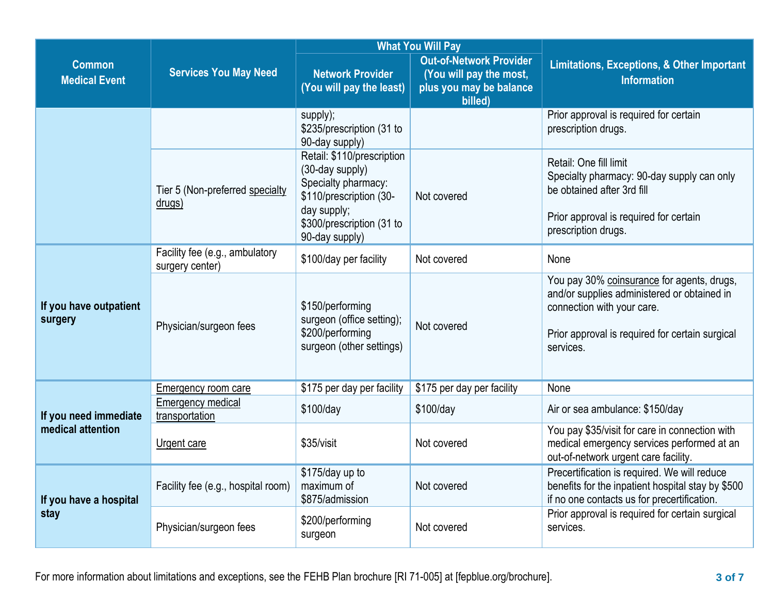|                                       | <b>Services You May Need</b>                      |                                                                                                                                                               | <b>What You Will Pay</b>                                                                        |                                                                                                                                                                                         |  |
|---------------------------------------|---------------------------------------------------|---------------------------------------------------------------------------------------------------------------------------------------------------------------|-------------------------------------------------------------------------------------------------|-----------------------------------------------------------------------------------------------------------------------------------------------------------------------------------------|--|
| <b>Common</b><br><b>Medical Event</b> |                                                   | <b>Network Provider</b><br>(You will pay the least)                                                                                                           | <b>Out-of-Network Provider</b><br>(You will pay the most,<br>plus you may be balance<br>billed) | <b>Limitations, Exceptions, &amp; Other Important</b><br><b>Information</b>                                                                                                             |  |
|                                       |                                                   | supply);<br>\$235/prescription (31 to<br>90-day supply)                                                                                                       |                                                                                                 | Prior approval is required for certain<br>prescription drugs.                                                                                                                           |  |
|                                       | Tier 5 (Non-preferred specialty<br>drugs)         | Retail: \$110/prescription<br>(30-day supply)<br>Specialty pharmacy:<br>\$110/prescription (30-<br>day supply;<br>\$300/prescription (31 to<br>90-day supply) | Not covered                                                                                     | Retail: One fill limit<br>Specialty pharmacy: 90-day supply can only<br>be obtained after 3rd fill<br>Prior approval is required for certain<br>prescription drugs.                     |  |
|                                       | Facility fee (e.g., ambulatory<br>surgery center) | \$100/day per facility                                                                                                                                        | Not covered                                                                                     | None                                                                                                                                                                                    |  |
| If you have outpatient<br>surgery     | Physician/surgeon fees                            | \$150/performing<br>surgeon (office setting);<br>\$200/performing<br>surgeon (other settings)                                                                 | Not covered                                                                                     | You pay 30% coinsurance for agents, drugs,<br>and/or supplies administered or obtained in<br>connection with your care.<br>Prior approval is required for certain surgical<br>services. |  |
|                                       | <b>Emergency room care</b>                        | \$175 per day per facility                                                                                                                                    | \$175 per day per facility                                                                      | None                                                                                                                                                                                    |  |
| If you need immediate                 | <b>Emergency medical</b><br>transportation        | \$100/day                                                                                                                                                     | \$100/day                                                                                       | Air or sea ambulance: \$150/day                                                                                                                                                         |  |
| medical attention                     | <b>Urgent care</b>                                | \$35/visit                                                                                                                                                    | Not covered                                                                                     | You pay \$35/visit for care in connection with<br>medical emergency services performed at an<br>out-of-network urgent care facility.                                                    |  |
| If you have a hospital<br>stay        | Facility fee (e.g., hospital room)                | \$175/day up to<br>maximum of<br>\$875/admission                                                                                                              | Not covered                                                                                     | Precertification is required. We will reduce<br>benefits for the inpatient hospital stay by \$500<br>if no one contacts us for precertification.                                        |  |
|                                       | Physician/surgeon fees                            | \$200/performing<br>surgeon                                                                                                                                   | Not covered                                                                                     | Prior approval is required for certain surgical<br>services.                                                                                                                            |  |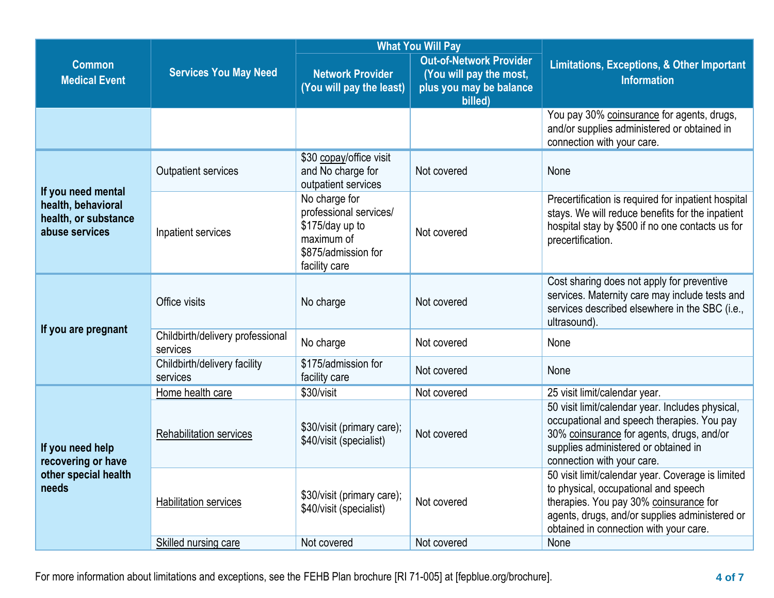|                                                                                    |                                              | <b>What You Will Pay</b>                                                                                         |                                                                                                 |                                                                                                                                                                                                                                 |  |
|------------------------------------------------------------------------------------|----------------------------------------------|------------------------------------------------------------------------------------------------------------------|-------------------------------------------------------------------------------------------------|---------------------------------------------------------------------------------------------------------------------------------------------------------------------------------------------------------------------------------|--|
| <b>Common</b><br><b>Medical Event</b>                                              | <b>Services You May Need</b>                 | <b>Network Provider</b><br>(You will pay the least)                                                              | <b>Out-of-Network Provider</b><br>(You will pay the most,<br>plus you may be balance<br>billed) | <b>Limitations, Exceptions, &amp; Other Important</b><br><b>Information</b>                                                                                                                                                     |  |
|                                                                                    |                                              |                                                                                                                  |                                                                                                 | You pay 30% coinsurance for agents, drugs,<br>and/or supplies administered or obtained in<br>connection with your care.                                                                                                         |  |
| If you need mental<br>health, behavioral<br>health, or substance<br>abuse services | <b>Outpatient services</b>                   | \$30 copay/office visit<br>and No charge for<br>outpatient services                                              | Not covered                                                                                     | None                                                                                                                                                                                                                            |  |
|                                                                                    | Inpatient services                           | No charge for<br>professional services/<br>\$175/day up to<br>maximum of<br>\$875/admission for<br>facility care | Not covered                                                                                     | Precertification is required for inpatient hospital<br>stays. We will reduce benefits for the inpatient<br>hospital stay by \$500 if no one contacts us for<br>precertification.                                                |  |
|                                                                                    | Office visits                                | No charge                                                                                                        | Not covered                                                                                     | Cost sharing does not apply for preventive<br>services. Maternity care may include tests and<br>services described elsewhere in the SBC (i.e.,<br>ultrasound).                                                                  |  |
| If you are pregnant                                                                | Childbirth/delivery professional<br>services | No charge                                                                                                        | Not covered                                                                                     | None                                                                                                                                                                                                                            |  |
|                                                                                    | Childbirth/delivery facility<br>services     | \$175/admission for<br>facility care                                                                             | Not covered                                                                                     | None                                                                                                                                                                                                                            |  |
| If you need help<br>recovering or have<br>other special health<br>needs            | Home health care                             | \$30/visit                                                                                                       | Not covered                                                                                     | 25 visit limit/calendar year.                                                                                                                                                                                                   |  |
|                                                                                    | <b>Rehabilitation services</b>               | \$30/visit (primary care);<br>\$40/visit (specialist)                                                            | Not covered                                                                                     | 50 visit limit/calendar year. Includes physical,<br>occupational and speech therapies. You pay<br>30% coinsurance for agents, drugs, and/or<br>supplies administered or obtained in<br>connection with your care.               |  |
|                                                                                    | Habilitation services                        | \$30/visit (primary care);<br>\$40/visit (specialist)                                                            | Not covered                                                                                     | 50 visit limit/calendar year. Coverage is limited<br>to physical, occupational and speech<br>therapies. You pay 30% coinsurance for<br>agents, drugs, and/or supplies administered or<br>obtained in connection with your care. |  |
|                                                                                    | Skilled nursing care                         | Not covered                                                                                                      | Not covered                                                                                     | None                                                                                                                                                                                                                            |  |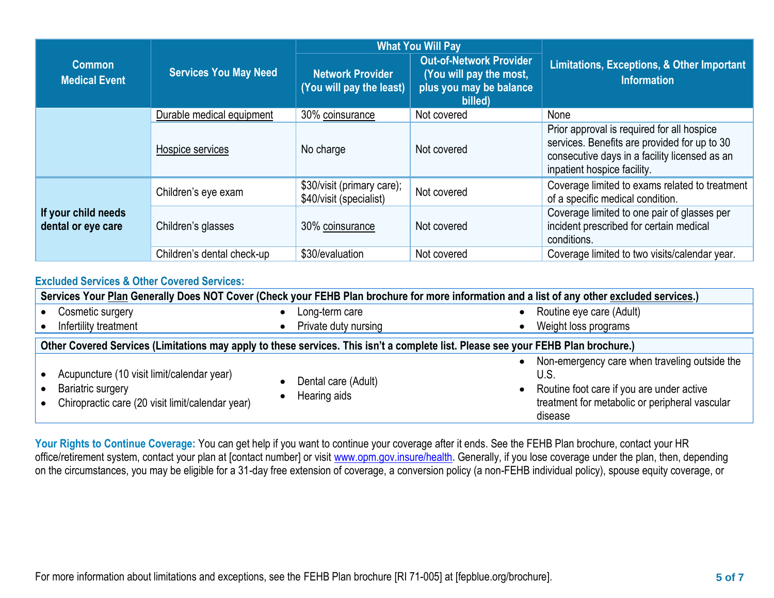|                                           | <b>Services You May Need</b> | <b>What You Will Pay</b>                              |                                                                                                 |                                                                                                                                                                            |  |
|-------------------------------------------|------------------------------|-------------------------------------------------------|-------------------------------------------------------------------------------------------------|----------------------------------------------------------------------------------------------------------------------------------------------------------------------------|--|
| <b>Common</b><br><b>Medical Event</b>     |                              | <b>Network Provider</b><br>(You will pay the least)   | <b>Out-of-Network Provider</b><br>(You will pay the most,<br>plus you may be balance<br>billed) | <b>Limitations, Exceptions, &amp; Other Important</b><br><b>Information</b>                                                                                                |  |
|                                           | Durable medical equipment    | 30% coinsurance                                       | Not covered                                                                                     | None                                                                                                                                                                       |  |
|                                           | Hospice services             | No charge                                             | Not covered                                                                                     | Prior approval is required for all hospice<br>services. Benefits are provided for up to 30<br>consecutive days in a facility licensed as an<br>inpatient hospice facility. |  |
| If your child needs<br>dental or eye care | Children's eye exam          | \$30/visit (primary care);<br>\$40/visit (specialist) | Not covered                                                                                     | Coverage limited to exams related to treatment<br>of a specific medical condition.                                                                                         |  |
|                                           | Children's glasses           | 30% coinsurance                                       | Not covered                                                                                     | Coverage limited to one pair of glasses per<br>incident prescribed for certain medical<br>conditions.                                                                      |  |
|                                           | Children's dental check-up   | \$30/evaluation                                       | Not covered                                                                                     | Coverage limited to two visits/calendar year.                                                                                                                              |  |

## **Excluded Services & Other Covered Services:**

| Services Your Plan Generally Does NOT Cover (Check your FEHB Plan brochure for more information and a list of any other excluded services.) |                                     |                                                                                                                                                                 |  |  |  |
|---------------------------------------------------------------------------------------------------------------------------------------------|-------------------------------------|-----------------------------------------------------------------------------------------------------------------------------------------------------------------|--|--|--|
| Cosmetic surgery                                                                                                                            | Long-term care                      | Routine eye care (Adult)                                                                                                                                        |  |  |  |
| Infertility treatment                                                                                                                       | Private duty nursing                | Weight loss programs                                                                                                                                            |  |  |  |
| Other Covered Services (Limitations may apply to these services. This isn't a complete list. Please see your FEHB Plan brochure.)           |                                     |                                                                                                                                                                 |  |  |  |
| Acupuncture (10 visit limit/calendar year)<br>Bariatric surgery<br>Chiropractic care (20 visit limit/calendar year)                         | Dental care (Adult)<br>Hearing aids | Non-emergency care when traveling outside the<br>U.S.<br>Routine foot care if you are under active<br>treatment for metabolic or peripheral vascular<br>disease |  |  |  |

**Your Rights to Continue Coverage:** You can get help if you want to continue your coverage after it ends. See the FEHB Plan brochure, contact your HR office/retirement system, contact your plan at [contact number] or visit [www.opm.gov.insure/health](http://www.opm.gov.insure/health)**.** Generally, if you lose coverage under the plan, then, depending on the circumstances, you may be eligible for a 31-day free extension of coverage, a conversion policy (a non-FEHB individual policy), spouse equity coverage, or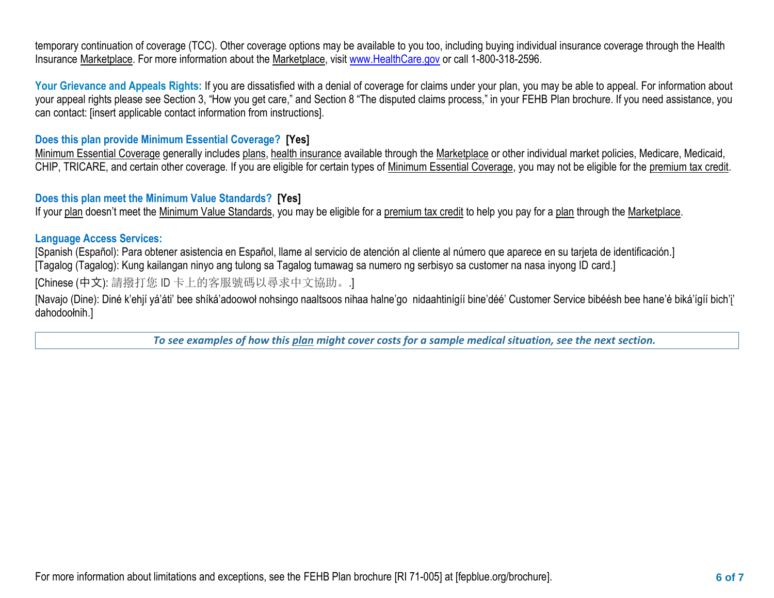temporary continuation of coverage (TCC). Other coverage options may be available to you too, including buying individual insurance coverage through the Health Insurance Marketplace. For more information about the Marketplace, visi[t www.HealthCare.gov](http://www.healthcare.gov/) or call 1-800-318-2596.

Your Grievance and Appeals Rights: If you are dissatisfied with a denial of coverage for claims under your plan, you may be able to appeal. For information about your appeal rights please see Section 3, "How you get care," and Section 8 "The disputed claims process," in your FEHB Plan brochure. If you need assistance, you can contact: [insert applicable contact information from instructions].

## **Does this plan provide Minimum Essential Coverage? [Yes]**

Minimum Essential Coverage generally includes [plans,](https://www.healthcare.gov/sbc-glossary/#plan) [health insurance](https://www.healthcare.gov/sbc-glossary/#health-insurance) available through the [Marketplace](https://www.healthcare.gov/sbc-glossary/#marketplace) or other individual market policies, Medicare, Medicaid, CHIP, TRICARE, and certain other coverage. If you are eligible for certain types of [Minimum Essential Coverage,](https://www.healthcare.gov/sbc-glossary/#minimum-essential-coverage) you may not be eligible for the [premium tax credit.](https://www.healthcare.gov/sbc-glossary/#premium-tax-credits)

## **Does this plan meet the Minimum Value Standards? [Yes]**

If your plan doesn't meet the Minimum Value Standards, you may be eligible for a premium tax credit to help you pay for a plan through the Marketplace.

## **Language Access Services:**

[Spanish (Español): Para obtener asistencia en Español, llame al servicio de atención al cliente al número que aparece en su tarjeta de identificación.]

[Tagalog (Tagalog): Kung kailangan ninyo ang tulong sa Tagalog tumawag sa numero ng serbisyo sa customer na nasa inyong ID card.]

[Chinese (中文): 請撥打您 ID 卡上的客服號碼以尋求中文協助。.]

[Navajo (Dine): Diné k'ehjí yá'áti' bee shíká'adoowoł nohsingo naaltsoos nihaa halne'go nidaahtinígíí bine'déé' Customer Service bibéésh bee hane'é biká'ígíí bich'į' dahodoołnih.]

*To see examples of how this plan might cover costs for a sample medical situation, see the next section.*